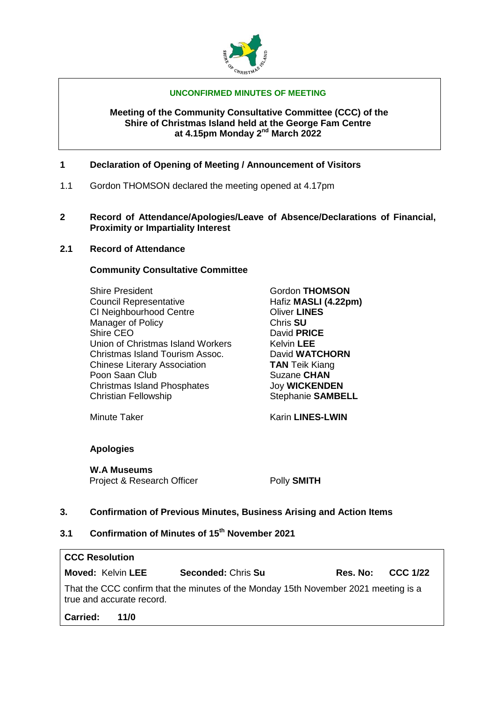

#### **UNCONFIRMED MINUTES OF MEETING**

#### **Meeting of the Community Consultative Committee (CCC) of the Shire of Christmas Island held at the George Fam Centre at 4.15pm Monday 2nd March 2022**

## **1 Declaration of Opening of Meeting / Announcement of Visitors**

- 1.1 Gordon THOMSON declared the meeting opened at 4.17pm
- **2 Record of Attendance/Apologies/Leave of Absence/Declarations of Financial, Proximity or Impartiality Interest**

## **2.1 Record of Attendance**

## **Community Consultative Committee**

Shire President **Gordon THOMSON**<br>
Council Representative **Gordon THOMSON**<br>
Hafiz **MASLI (4.22pm) Council Representative** CI Neighbourhood Centre **CI NES** Manager of Policy **Chris SU** Shire CEO David **PRICE** Union of Christmas Island Workers Kelvin LEE Christmas Island Tourism Assoc. David **WATCHORN** Chinese Literary Association **TAN** Teik Kiang Poon Saan Club Suzane **CHAN Christmas Island Phosphates** Joy **WICKENDEN**<br>Christian Fellowship **Christian SAMBE** 

Stephanie **SAMBELL** 

Minute Taker **Karin LINES-LWIN** 

## **Apologies**

**W.A Museums**

Project & Research Officer **Polly SMITH** 

## **3. Confirmation of Previous Minutes, Business Arising and Action Items**

# **3.1 Confirmation of Minutes of 15th November 2021**

| <b>CCC Resolution</b>                                                                                            |      |                           |          |                 |  |  |  |  |
|------------------------------------------------------------------------------------------------------------------|------|---------------------------|----------|-----------------|--|--|--|--|
| <b>Moved: Kelvin LEE</b>                                                                                         |      | <b>Seconded: Chris Su</b> | Res. No: | <b>CCC 1/22</b> |  |  |  |  |
| That the CCC confirm that the minutes of the Monday 15th November 2021 meeting is a<br>true and accurate record. |      |                           |          |                 |  |  |  |  |
| Carried:                                                                                                         | 11/0 |                           |          |                 |  |  |  |  |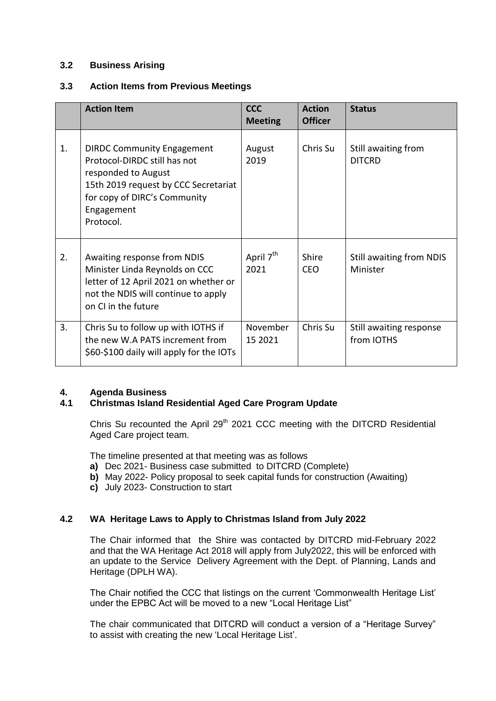## **3.2 Business Arising**

## **3.3 Action Items from Previous Meetings**

|    | <b>Action Item</b>                                                                                                                                                                          | <b>CCC</b><br><b>Meeting</b>  | <b>Action</b><br><b>Officer</b> | <b>Status</b>                         |
|----|---------------------------------------------------------------------------------------------------------------------------------------------------------------------------------------------|-------------------------------|---------------------------------|---------------------------------------|
| 1. | <b>DIRDC Community Engagement</b><br>Protocol-DIRDC still has not<br>responded to August<br>15th 2019 request by CCC Secretariat<br>for copy of DIRC's Community<br>Engagement<br>Protocol. | August<br>2019                | Chris Su                        | Still awaiting from<br><b>DITCRD</b>  |
| 2. | Awaiting response from NDIS<br>Minister Linda Reynolds on CCC<br>letter of 12 April 2021 on whether or<br>not the NDIS will continue to apply<br>on CI in the future                        | April 7 <sup>th</sup><br>2021 | <b>Shire</b><br>CEO.            | Still awaiting from NDIS<br>Minister  |
| 3. | Chris Su to follow up with IOTHS if<br>the new W.A PATS increment from<br>\$60-\$100 daily will apply for the IOTs                                                                          | November<br>15 2021           | Chris Su                        | Still awaiting response<br>from IOTHS |

## **4. Agenda Business**

## **4.1 Christmas Island Residential Aged Care Program Update**

Chris Su recounted the April 29<sup>th</sup> 2021 CCC meeting with the DITCRD Residential Aged Care project team.

The timeline presented at that meeting was as follows

- **a)** Dec 2021- Business case submitted to DITCRD (Complete)
- **b)** May 2022- Policy proposal to seek capital funds for construction (Awaiting)
- **c)** July 2023- Construction to start

## **4.2 WA Heritage Laws to Apply to Christmas Island from July 2022**

The Chair informed that the Shire was contacted by DITCRD mid-February 2022 and that the WA Heritage Act 2018 will apply from July2022, this will be enforced with an update to the Service Delivery Agreement with the Dept. of Planning, Lands and Heritage (DPLH WA).

The Chair notified the CCC that listings on the current 'Commonwealth Heritage List' under the EPBC Act will be moved to a new "Local Heritage List"

The chair communicated that DITCRD will conduct a version of a "Heritage Survey" to assist with creating the new 'Local Heritage List'.